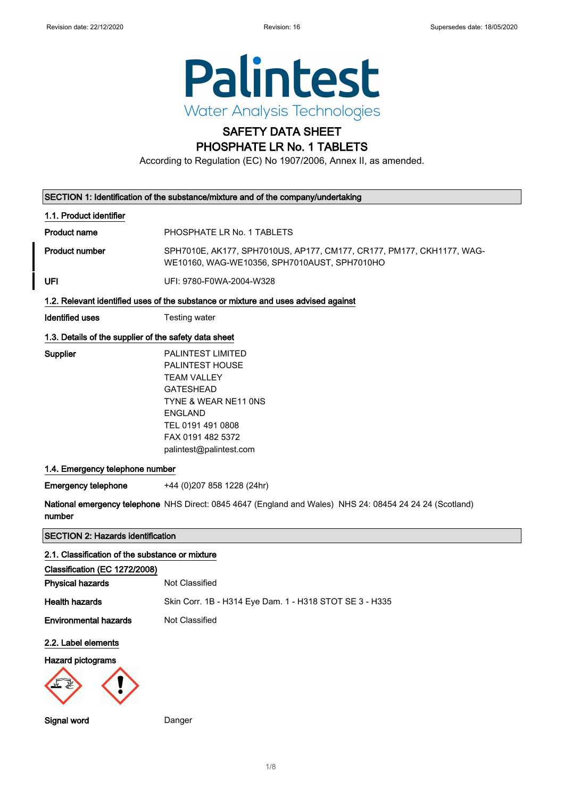

# SAFETY DATA SHEET

## PHOSPHATE LR No. 1 TABLETS

According to Regulation (EC) No 1907/2006, Annex II, as amended.

|                                                       | SECTION 1: Identification of the substance/mixture and of the company/undertaking                                                                                                                    |
|-------------------------------------------------------|------------------------------------------------------------------------------------------------------------------------------------------------------------------------------------------------------|
| 1.1. Product identifier                               |                                                                                                                                                                                                      |
| <b>Product name</b>                                   | PHOSPHATE LR No. 1 TABLETS                                                                                                                                                                           |
| <b>Product number</b>                                 | SPH7010E, AK177, SPH7010US, AP177, CM177, CR177, PM177, CKH1177, WAG-<br>WE10160, WAG-WE10356, SPH7010AUST, SPH7010HO                                                                                |
| UFI                                                   | UFI: 9780-F0WA-2004-W328                                                                                                                                                                             |
|                                                       | 1.2. Relevant identified uses of the substance or mixture and uses advised against                                                                                                                   |
| <b>Identified uses</b>                                | Testing water                                                                                                                                                                                        |
| 1.3. Details of the supplier of the safety data sheet |                                                                                                                                                                                                      |
| Supplier                                              | PALINTEST LIMITED<br><b>PALINTEST HOUSE</b><br><b>TEAM VALLEY</b><br><b>GATESHEAD</b><br>TYNE & WEAR NE11 ONS<br><b>ENGLAND</b><br>TEL 0191 491 0808<br>FAX 0191 482 5372<br>palintest@palintest.com |
| 1.4. Emergency telephone number                       |                                                                                                                                                                                                      |
| <b>Emergency telephone</b>                            | +44 (0) 207 858 1228 (24hr)                                                                                                                                                                          |
| number                                                | National emergency telephone NHS Direct: 0845 4647 (England and Wales) NHS 24: 08454 24 24 24 (Scotland)                                                                                             |
| <b>SECTION 2: Hazards identification</b>              |                                                                                                                                                                                                      |
| 2.1. Classification of the substance or mixture       |                                                                                                                                                                                                      |
| Classification (EC 1272/2008)                         |                                                                                                                                                                                                      |
| <b>Physical hazards</b>                               | Not Classified                                                                                                                                                                                       |
| <b>Health hazards</b>                                 | Skin Corr. 1B - H314 Eye Dam. 1 - H318 STOT SE 3 - H335                                                                                                                                              |
| <b>Environmental hazards</b>                          | Not Classified                                                                                                                                                                                       |
| 2.2. Label elements                                   |                                                                                                                                                                                                      |
| <b>Hazard pictograms</b>                              |                                                                                                                                                                                                      |
| Signal word                                           | Danger                                                                                                                                                                                               |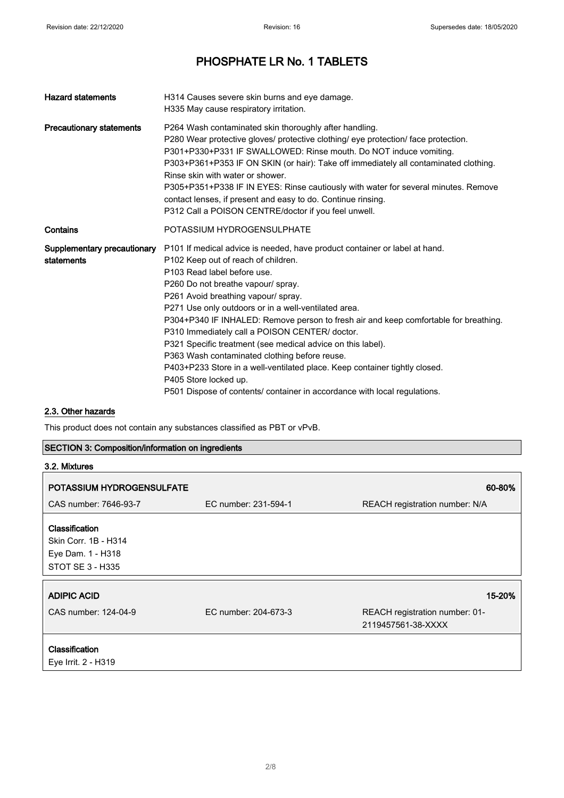| <b>Hazard statements</b>                  | H314 Causes severe skin burns and eye damage.<br>H335 May cause respiratory irritation.                                                                                                                                                                                                                                                                                                                                                                                                                                                                                                                                                                                                                                             |
|-------------------------------------------|-------------------------------------------------------------------------------------------------------------------------------------------------------------------------------------------------------------------------------------------------------------------------------------------------------------------------------------------------------------------------------------------------------------------------------------------------------------------------------------------------------------------------------------------------------------------------------------------------------------------------------------------------------------------------------------------------------------------------------------|
| <b>Precautionary statements</b>           | P264 Wash contaminated skin thoroughly after handling.<br>P280 Wear protective gloves/ protective clothing/ eye protection/ face protection.<br>P301+P330+P331 IF SWALLOWED: Rinse mouth. Do NOT induce vomiting.<br>P303+P361+P353 IF ON SKIN (or hair): Take off immediately all contaminated clothing.<br>Rinse skin with water or shower.<br>P305+P351+P338 IF IN EYES: Rinse cautiously with water for several minutes. Remove<br>contact lenses, if present and easy to do. Continue rinsing.<br>P312 Call a POISON CENTRE/doctor if you feel unwell.                                                                                                                                                                         |
| Contains                                  | POTASSIUM HYDROGENSULPHATE                                                                                                                                                                                                                                                                                                                                                                                                                                                                                                                                                                                                                                                                                                          |
| Supplementary precautionary<br>statements | P101 If medical advice is needed, have product container or label at hand.<br>P102 Keep out of reach of children.<br>P103 Read label before use.<br>P260 Do not breathe vapour/ spray.<br>P261 Avoid breathing vapour/ spray.<br>P271 Use only outdoors or in a well-ventilated area.<br>P304+P340 IF INHALED: Remove person to fresh air and keep comfortable for breathing.<br>P310 Immediately call a POISON CENTER/ doctor.<br>P321 Specific treatment (see medical advice on this label).<br>P363 Wash contaminated clothing before reuse.<br>P403+P233 Store in a well-ventilated place. Keep container tightly closed.<br>P405 Store locked up.<br>P501 Dispose of contents/ container in accordance with local regulations. |

### 2.3. Other hazards

This product does not contain any substances classified as PBT or vPvB.

### SECTION 3: Composition/information on ingredients

| 3.2. Mixtures                                                                          |                      |                                                      |
|----------------------------------------------------------------------------------------|----------------------|------------------------------------------------------|
| POTASSIUM HYDROGENSULFATE                                                              |                      | 60-80%                                               |
| CAS number: 7646-93-7                                                                  | EC number: 231-594-1 | REACH registration number: N/A                       |
| <b>Classification</b><br>Skin Corr. 1B - H314<br>Eye Dam. 1 - H318<br>STOT SE 3 - H335 |                      |                                                      |
| <b>ADIPIC ACID</b>                                                                     |                      | 15-20%                                               |
| CAS number: 124-04-9                                                                   | EC number: 204-673-3 | REACH registration number: 01-<br>2119457561-38-XXXX |
| <b>Classification</b><br>Eye Irrit. 2 - H319                                           |                      |                                                      |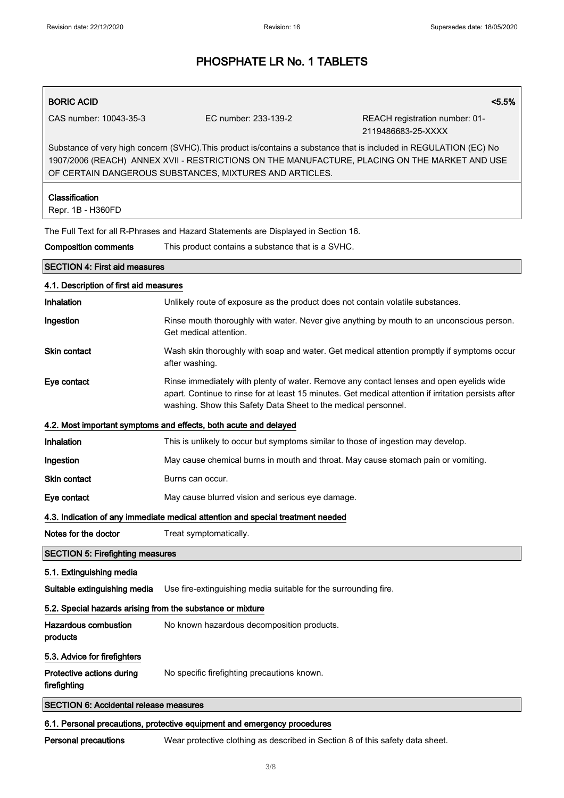## BORIC ACID <5.5% CAS number: 10043-35-3 EC number: 233-139-2 REACH registration number: 01- 2119486683-25-XXXX Substance of very high concern (SVHC).This product is/contains a substance that is included in REGULATION (EC) No 1907/2006 (REACH) ANNEX XVII - RESTRICTIONS ON THE MANUFACTURE, PLACING ON THE MARKET AND USE OF CERTAIN DANGEROUS SUBSTANCES, MIXTURES AND ARTICLES. Classification Repr. 1B - H360FD The Full Text for all R-Phrases and Hazard Statements are Displayed in Section 16. Composition comments This product contains a substance that is a SVHC. SECTION 4: First aid measures 4.1. Description of first aid measures Inhalation **Unlikely route of exposure as the product does not contain volatile substances.** Ingestion **Rinse mouth thoroughly with water.** Never give anything by mouth to an unconscious person. Get medical attention. Skin contact **Wash skin thoroughly with soap and water.** Get medical attention promptly if symptoms occur after washing. Eye contact **Rinse immediately with plenty of water. Remove any contact lenses and open eyelids wide** apart. Continue to rinse for at least 15 minutes. Get medical attention if irritation persists after washing. Show this Safety Data Sheet to the medical personnel. 4.2. Most important symptoms and effects, both acute and delayed Inhalation This is unlikely to occur but symptoms similar to those of ingestion may develop. Ingestion **May cause chemical burns in mouth and throat**. May cause stomach pain or vomiting. Skin contact **Burns** can occur. Eye contact May cause blurred vision and serious eye damage. 4.3. Indication of any immediate medical attention and special treatment needed Notes for the doctor Treat symptomatically. SECTION 5: Firefighting measures 5.1. Extinguishing media Suitable extinguishing media Use fire-extinguishing media suitable for the surrounding fire. 5.2. Special hazards arising from the substance or mixture Hazardous combustion products No known hazardous decomposition products. 5.3. Advice for firefighters Protective actions during firefighting No specific firefighting precautions known. SECTION 6: Accidental release measures

### 6.1. Personal precautions, protective equipment and emergency procedures

Personal precautions Wear protective clothing as described in Section 8 of this safety data sheet.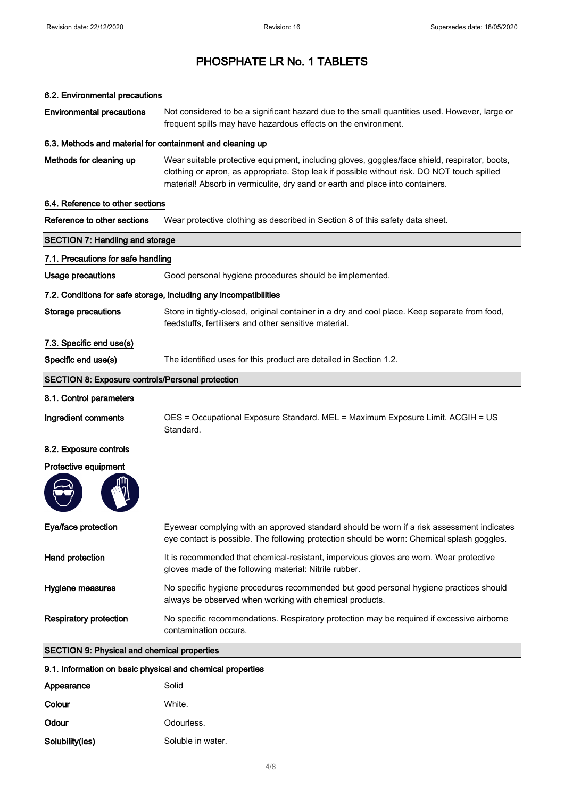### 6.2. Environmental precautions

Environmental precautions Not considered to be a significant hazard due to the small quantities used. However, large or frequent spills may have hazardous effects on the environment.

### 6.3. Methods and material for containment and cleaning up

Methods for cleaning up Wear suitable protective equipment, including gloves, goggles/face shield, respirator, boots, clothing or apron, as appropriate. Stop leak if possible without risk. DO NOT touch spilled material! Absorb in vermiculite, dry sand or earth and place into containers.

### 6.4. Reference to other sections

| Reference to other sections | Wear protective clothing as described in Section 8 of this safety data sheet. |  |
|-----------------------------|-------------------------------------------------------------------------------|--|
|                             |                                                                               |  |

| <b>SECTION 7: Handling and storage</b>                  |                                                                                                                                                                                         |
|---------------------------------------------------------|-----------------------------------------------------------------------------------------------------------------------------------------------------------------------------------------|
| 7.1. Precautions for safe handling                      |                                                                                                                                                                                         |
| <b>Usage precautions</b>                                | Good personal hygiene procedures should be implemented.                                                                                                                                 |
|                                                         | 7.2. Conditions for safe storage, including any incompatibilities                                                                                                                       |
| <b>Storage precautions</b>                              | Store in tightly-closed, original container in a dry and cool place. Keep separate from food,<br>feedstuffs, fertilisers and other sensitive material.                                  |
| 7.3. Specific end use(s)                                |                                                                                                                                                                                         |
| Specific end use(s)                                     | The identified uses for this product are detailed in Section 1.2.                                                                                                                       |
| <b>SECTION 8: Exposure controls/Personal protection</b> |                                                                                                                                                                                         |
| 8.1. Control parameters                                 |                                                                                                                                                                                         |
| Ingredient comments                                     | OES = Occupational Exposure Standard. MEL = Maximum Exposure Limit. ACGIH = US<br>Standard.                                                                                             |
| 8.2. Exposure controls                                  |                                                                                                                                                                                         |
| Protective equipment                                    |                                                                                                                                                                                         |
|                                                         |                                                                                                                                                                                         |
| Eye/face protection                                     | Eyewear complying with an approved standard should be worn if a risk assessment indicates<br>eye contact is possible. The following protection should be worn: Chemical splash goggles. |
| Hand protection                                         | It is recommended that chemical-resistant, impervious gloves are worn. Wear protective<br>gloves made of the following material: Nitrile rubber.                                        |
| Hygiene measures                                        | No specific hygiene procedures recommended but good personal hygiene practices should<br>always be observed when working with chemical products.                                        |
| <b>Respiratory protection</b>                           | No specific recommendations. Respiratory protection may be required if excessive airborne<br>contamination occurs.                                                                      |
| <b>SECTION 9: Physical and chemical properties</b>      |                                                                                                                                                                                         |

### 9.1. Information on basic physical and chemical properties

| Appearance      | Solid             |
|-----------------|-------------------|
| Colour          | White.            |
| Odour           | Odourless.        |
| Solubility(ies) | Soluble in water. |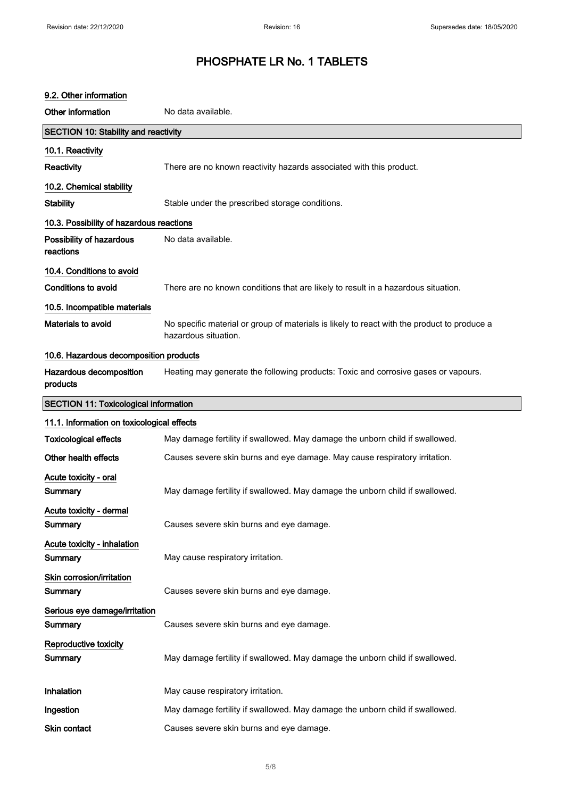| 9.2. Other information                       |                                                                                                                     |
|----------------------------------------------|---------------------------------------------------------------------------------------------------------------------|
| Other information                            | No data available.                                                                                                  |
| <b>SECTION 10: Stability and reactivity</b>  |                                                                                                                     |
| 10.1. Reactivity                             |                                                                                                                     |
| Reactivity                                   | There are no known reactivity hazards associated with this product.                                                 |
| 10.2. Chemical stability                     |                                                                                                                     |
| <b>Stability</b>                             | Stable under the prescribed storage conditions.                                                                     |
| 10.3. Possibility of hazardous reactions     |                                                                                                                     |
| Possibility of hazardous<br>reactions        | No data available.                                                                                                  |
| 10.4. Conditions to avoid                    |                                                                                                                     |
| <b>Conditions to avoid</b>                   | There are no known conditions that are likely to result in a hazardous situation.                                   |
| 10.5. Incompatible materials                 |                                                                                                                     |
| Materials to avoid                           | No specific material or group of materials is likely to react with the product to produce a<br>hazardous situation. |
| 10.6. Hazardous decomposition products       |                                                                                                                     |
| Hazardous decomposition<br>products          | Heating may generate the following products: Toxic and corrosive gases or vapours.                                  |
| <b>SECTION 11: Toxicological information</b> |                                                                                                                     |
|                                              |                                                                                                                     |
| 11.1. Information on toxicological effects   |                                                                                                                     |
| <b>Toxicological effects</b>                 | May damage fertility if swallowed. May damage the unborn child if swallowed.                                        |
| Other health effects                         | Causes severe skin burns and eye damage. May cause respiratory irritation.                                          |
| Acute toxicity - oral<br>Summary             | May damage fertility if swallowed. May damage the unborn child if swallowed.                                        |
| Acute toxicity - dermal<br>Summary           | Causes severe skin burns and eye damage.                                                                            |
| Acute toxicity - inhalation<br>Summary       | May cause respiratory irritation.                                                                                   |
| Skin corrosion/irritation<br>Summary         | Causes severe skin burns and eye damage.                                                                            |
| Serious eye damage/irritation<br>Summary     | Causes severe skin burns and eye damage.                                                                            |
| Reproductive toxicity<br>Summary             | May damage fertility if swallowed. May damage the unborn child if swallowed.                                        |
| Inhalation                                   | May cause respiratory irritation.                                                                                   |
| Ingestion                                    | May damage fertility if swallowed. May damage the unborn child if swallowed.                                        |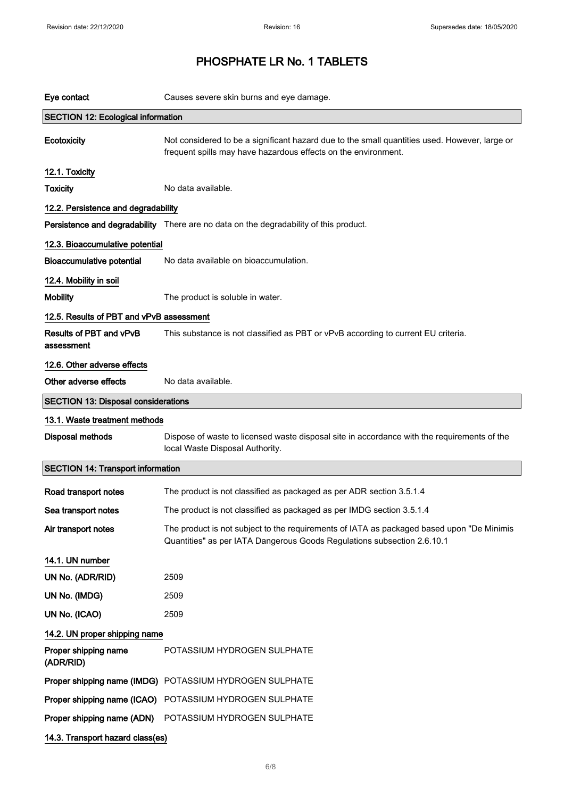| Eye contact                                | Causes severe skin burns and eye damage.                                                                                                                              |
|--------------------------------------------|-----------------------------------------------------------------------------------------------------------------------------------------------------------------------|
| <b>SECTION 12: Ecological information</b>  |                                                                                                                                                                       |
| <b>Ecotoxicity</b>                         | Not considered to be a significant hazard due to the small quantities used. However, large or<br>frequent spills may have hazardous effects on the environment.       |
| 12.1. Toxicity                             |                                                                                                                                                                       |
| <b>Toxicity</b>                            | No data available.                                                                                                                                                    |
| 12.2. Persistence and degradability        |                                                                                                                                                                       |
|                                            | Persistence and degradability There are no data on the degradability of this product.                                                                                 |
| 12.3. Bioaccumulative potential            |                                                                                                                                                                       |
| <b>Bioaccumulative potential</b>           | No data available on bioaccumulation.                                                                                                                                 |
| 12.4. Mobility in soil                     |                                                                                                                                                                       |
| <b>Mobility</b>                            | The product is soluble in water.                                                                                                                                      |
| 12.5. Results of PBT and vPvB assessment   |                                                                                                                                                                       |
| Results of PBT and vPvB<br>assessment      | This substance is not classified as PBT or vPvB according to current EU criteria.                                                                                     |
| 12.6. Other adverse effects                |                                                                                                                                                                       |
| Other adverse effects                      | No data available.                                                                                                                                                    |
| <b>SECTION 13: Disposal considerations</b> |                                                                                                                                                                       |
| 13.1. Waste treatment methods              |                                                                                                                                                                       |
| <b>Disposal methods</b>                    | Dispose of waste to licensed waste disposal site in accordance with the requirements of the<br>local Waste Disposal Authority.                                        |
| <b>SECTION 14: Transport information</b>   |                                                                                                                                                                       |
| Road transport notes                       | The product is not classified as packaged as per ADR section 3.5.1.4                                                                                                  |
| Sea transport notes                        | The product is not classified as packaged as per IMDG section 3.5.1.4                                                                                                 |
| Air transport notes                        | The product is not subject to the requirements of IATA as packaged based upon "De Minimis"<br>Quantities" as per IATA Dangerous Goods Regulations subsection 2.6.10.1 |
| 14.1. UN number                            |                                                                                                                                                                       |
| UN No. (ADR/RID)                           | 2509                                                                                                                                                                  |
| UN No. (IMDG)                              | 2509                                                                                                                                                                  |
| UN No. (ICAO)                              | 2509                                                                                                                                                                  |
| 14.2. UN proper shipping name              |                                                                                                                                                                       |
| Proper shipping name<br>(ADR/RID)          | POTASSIUM HYDROGEN SULPHATE                                                                                                                                           |
|                                            | Proper shipping name (IMDG) POTASSIUM HYDROGEN SULPHATE                                                                                                               |
| Proper shipping name (ICAO)                | POTASSIUM HYDROGEN SULPHATE                                                                                                                                           |
| Proper shipping name (ADN)                 | POTASSIUM HYDROGEN SULPHATE                                                                                                                                           |
| 14.3. Transport hazard class(es)           |                                                                                                                                                                       |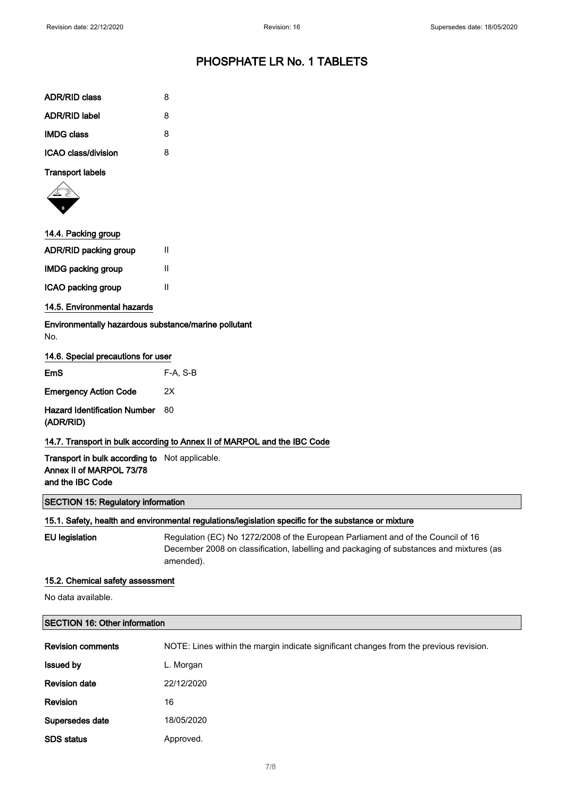| <b>ADR/RID class</b> | 8 |
|----------------------|---|
| <b>ADR/RID label</b> | 8 |
| <b>IMDG class</b>    | 8 |
| ICAO class/division  | R |

### Transport labels



### 14.4. Packing group

| <b>ADR/RID packing group</b> | Ш |
|------------------------------|---|
| <b>IMDG packing group</b>    | Ш |
| ICAO packing group           | Ш |

### 14.5. Environmental hazards

Environmentally hazardous substance/marine pollutant No.

### 14.6. Special precautions for user

| EmS                                              | F-A. S-B |
|--------------------------------------------------|----------|
| <b>Emergency Action Code</b>                     | 2X       |
| <b>Hazard Identification Number</b><br>(ADR/RID) | -80      |
|                                                  |          |

### 14.7. Transport in bulk according to Annex II of MARPOL and the IBC Code

Transport in bulk according to Not applicable. Annex II of MARPOL 73/78 and the IBC Code

#### SECTION 15: Regulatory information

#### 15.1. Safety, health and environmental regulations/legislation specific for the substance or mixture

EU legislation Regulation (EC) No 1272/2008 of the European Parliament and of the Council of 16 December 2008 on classification, labelling and packaging of substances and mixtures (as amended).

### 15.2. Chemical safety assessment

No data available.

### SECTION 16: Other information

| <b>Revision comments</b> | NOTE: Lines within the margin indicate significant changes from the previous revision. |
|--------------------------|----------------------------------------------------------------------------------------|
| <b>Issued by</b>         | L. Morgan                                                                              |
| <b>Revision date</b>     | 22/12/2020                                                                             |
| Revision                 | 16                                                                                     |
| Supersedes date          | 18/05/2020                                                                             |
| <b>SDS status</b>        | Approved.                                                                              |